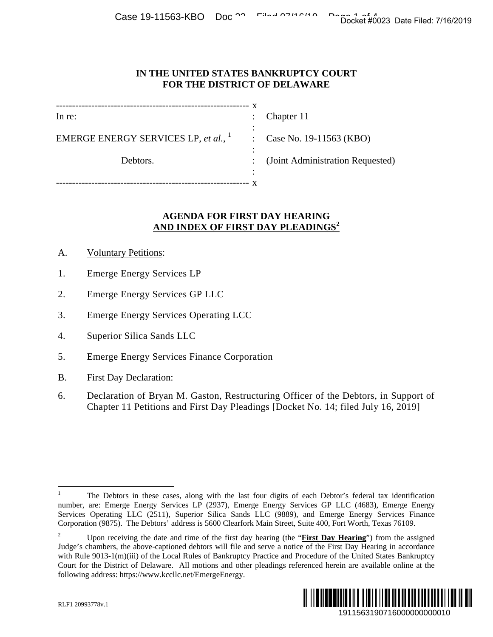## **IN THE UNITED STATES BANKRUPTCY COURT FOR THE DISTRICT OF DELAWARE**

| In re:                                  |   | Chapter 11                       |
|-----------------------------------------|---|----------------------------------|
| EMERGE ENERGY SERVICES LP, et al., $^1$ | ٠ | : Case No. 19-11563 (KBO)        |
| Debtors.                                |   | (Joint Administration Requested) |
|                                         | ٠ |                                  |

## **AGENDA FOR FIRST DAY HEARING AND INDEX OF FIRST DAY PLEADINGS<sup>2</sup>**

- A. Voluntary Petitions:
- 1. Emerge Energy Services LP
- 2. Emerge Energy Services GP LLC
- 3. Emerge Energy Services Operating LCC
- 4. Superior Silica Sands LLC
- 5. Emerge Energy Services Finance Corporation
- B. First Day Declaration:
- 6. Declaration of Bryan M. Gaston, Restructuring Officer of the Debtors, in Support of Chapter 11 Petitions and First Day Pleadings [Docket No. 14; filed July 16, 2019]

<sup>2</sup> Upon receiving the date and time of the first day hearing (the "**First Day Hearing**") from the assigned Judge's chambers, the above-captioned debtors will file and serve a notice of the First Day Hearing in accordance with Rule 9013-1(m)(iii) of the Local Rules of Bankruptcy Practice and Procedure of the United States Bankruptcy Court for the District of Delaware. All motions and other pleadings referenced herein are available online at the following address: https://www.kccllc.net/EmergeEnergy. Docket #0023 Date Filed: 7/16/2019<br>
1911 CRET<br>
1912 (KBO)<br>
1913 (KBO)<br>
1915 (KBO)<br>
1915 (Learning Services Finance<br>
2020 Docket #0023 Date Filed: 7/16/2019<br>
2020<br>
2020<br>
2020<br>
2020 Marting Contrast Standard Marting in acco



 $\overline{a}$ 1 The Debtors in these cases, along with the last four digits of each Debtor's federal tax identification number, are: Emerge Energy Services LP (2937), Emerge Energy Services GP LLC (4683), Emerge Energy Services Operating LLC (2511), Superior Silica Sands LLC (9889), and Emerge Energy Services Finance Corporation (9875). The Debtors' address is 5600 Clearfork Main Street, Suite 400, Fort Worth, Texas 76109.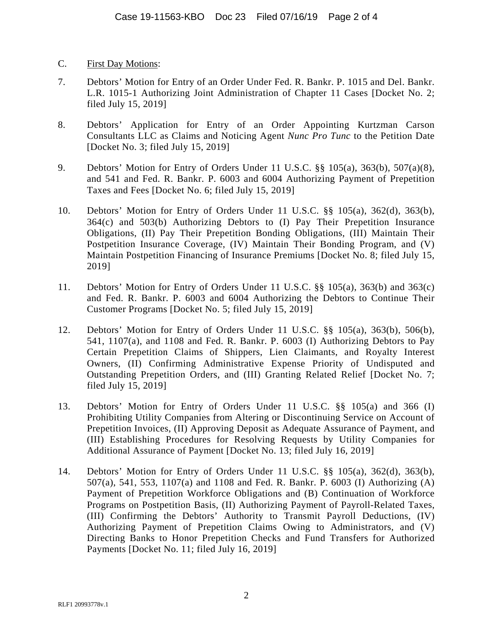- C. First Day Motions:
- 7. Debtors' Motion for Entry of an Order Under Fed. R. Bankr. P. 1015 and Del. Bankr. L.R. 1015-1 Authorizing Joint Administration of Chapter 11 Cases [Docket No. 2; filed July 15, 2019]
- 8. Debtors' Application for Entry of an Order Appointing Kurtzman Carson Consultants LLC as Claims and Noticing Agent *Nunc Pro Tunc* to the Petition Date [Docket No. 3; filed July 15, 2019]
- 9. Debtors' Motion for Entry of Orders Under 11 U.S.C. §§ 105(a), 363(b), 507(a)(8), and 541 and Fed. R. Bankr. P. 6003 and 6004 Authorizing Payment of Prepetition Taxes and Fees [Docket No. 6; filed July 15, 2019]
- 10. Debtors' Motion for Entry of Orders Under 11 U.S.C. §§ 105(a), 362(d), 363(b), 364(c) and 503(b) Authorizing Debtors to (I) Pay Their Prepetition Insurance Obligations, (II) Pay Their Prepetition Bonding Obligations, (III) Maintain Their Postpetition Insurance Coverage, (IV) Maintain Their Bonding Program, and (V) Maintain Postpetition Financing of Insurance Premiums [Docket No. 8; filed July 15, 2019]
- 11. Debtors' Motion for Entry of Orders Under 11 U.S.C. §§ 105(a), 363(b) and 363(c) and Fed. R. Bankr. P. 6003 and 6004 Authorizing the Debtors to Continue Their Customer Programs [Docket No. 5; filed July 15, 2019]
- 12. Debtors' Motion for Entry of Orders Under 11 U.S.C. §§ 105(a), 363(b), 506(b), 541, 1107(a), and 1108 and Fed. R. Bankr. P. 6003 (I) Authorizing Debtors to Pay Certain Prepetition Claims of Shippers, Lien Claimants, and Royalty Interest Owners, (II) Confirming Administrative Expense Priority of Undisputed and Outstanding Prepetition Orders, and (III) Granting Related Relief [Docket No. 7; filed July 15, 2019]
- 13. Debtors' Motion for Entry of Orders Under 11 U.S.C. §§ 105(a) and 366 (I) Prohibiting Utility Companies from Altering or Discontinuing Service on Account of Prepetition Invoices, (II) Approving Deposit as Adequate Assurance of Payment, and (III) Establishing Procedures for Resolving Requests by Utility Companies for Additional Assurance of Payment [Docket No. 13; filed July 16, 2019]
- 14. Debtors' Motion for Entry of Orders Under 11 U.S.C. §§ 105(a), 362(d), 363(b), 507(a), 541, 553, 1107(a) and 1108 and Fed. R. Bankr. P. 6003 (I) Authorizing (A) Payment of Prepetition Workforce Obligations and (B) Continuation of Workforce Programs on Postpetition Basis, (II) Authorizing Payment of Payroll-Related Taxes, (III) Confirming the Debtors' Authority to Transmit Payroll Deductions, (IV) Authorizing Payment of Prepetition Claims Owing to Administrators, and (V) Directing Banks to Honor Prepetition Checks and Fund Transfers for Authorized Payments [Docket No. 11; filed July 16, 2019]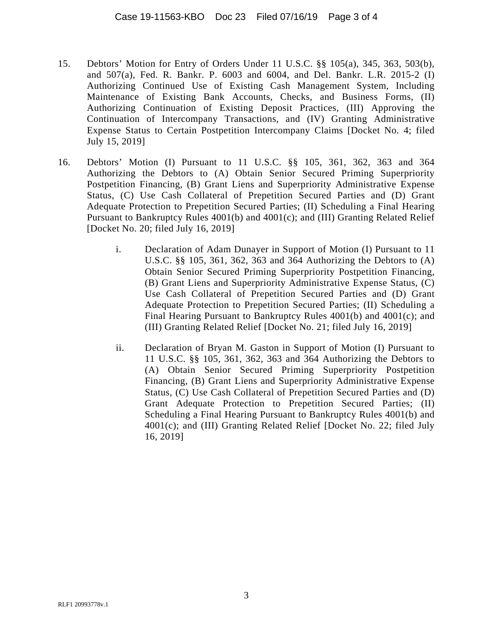- 15. Debtors' Motion for Entry of Orders Under 11 U.S.C. §§ 105(a), 345, 363, 503(b), and 507(a), Fed. R. Bankr. P. 6003 and 6004, and Del. Bankr. L.R. 2015-2 (I) Authorizing Continued Use of Existing Cash Management System, Including Maintenance of Existing Bank Accounts, Checks, and Business Forms, (II) Authorizing Continuation of Existing Deposit Practices, (III) Approving the Continuation of Intercompany Transactions, and (IV) Granting Administrative Expense Status to Certain Postpetition Intercompany Claims [Docket No. 4; filed July 15, 2019]
- 16. Debtors' Motion (I) Pursuant to 11 U.S.C. §§ 105, 361, 362, 363 and 364 Authorizing the Debtors to (A) Obtain Senior Secured Priming Superpriority Postpetition Financing, (B) Grant Liens and Superpriority Administrative Expense Status, (C) Use Cash Collateral of Prepetition Secured Parties and (D) Grant Adequate Protection to Prepetition Secured Parties; (II) Scheduling a Final Hearing Pursuant to Bankruptcy Rules 4001(b) and 4001(c); and (III) Granting Related Relief [Docket No. 20; filed July 16, 2019]
	- i. Declaration of Adam Dunayer in Support of Motion (I) Pursuant to 11 U.S.C. §§ 105, 361, 362, 363 and 364 Authorizing the Debtors to (A) Obtain Senior Secured Priming Superpriority Postpetition Financing, (B) Grant Liens and Superpriority Administrative Expense Status, (C) Use Cash Collateral of Prepetition Secured Parties and (D) Grant Adequate Protection to Prepetition Secured Parties; (II) Scheduling a Final Hearing Pursuant to Bankruptcy Rules 4001(b) and 4001(c); and (III) Granting Related Relief [Docket No. 21; filed July 16, 2019]
	- ii. Declaration of Bryan M. Gaston in Support of Motion (I) Pursuant to 11 U.S.C. §§ 105, 361, 362, 363 and 364 Authorizing the Debtors to (A) Obtain Senior Secured Priming Superpriority Postpetition Financing, (B) Grant Liens and Superpriority Administrative Expense Status, (C) Use Cash Collateral of Prepetition Secured Parties and (D) Grant Adequate Protection to Prepetition Secured Parties; (II) Scheduling a Final Hearing Pursuant to Bankruptcy Rules 4001(b) and 4001(c); and (III) Granting Related Relief [Docket No. 22; filed July 16, 2019]